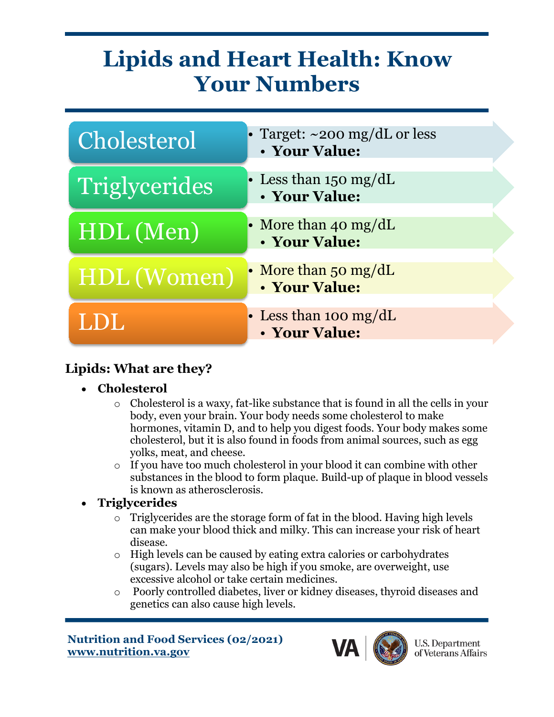## **Lipids and Heart Health: Know Your Numbers**



## **Lipids: What are they?**

- **Cholesterol** 
	- o Cholesterol is a waxy, fat-like substance that is found in all the cells in your body, even your brain. Your body needs some cholesterol to make hormones, vitamin D, and to help you digest foods. Your body makes some cholesterol, but it is also found in foods from animal sources, such as egg yolks, meat, and cheese.
	- o If you have too much cholesterol in your blood it can combine with other substances in the blood to form plaque. Build-up of plaque in blood vessels is known as atherosclerosis.
- **Triglycerides** 
	- Triglycerides are the storage form of fat in the blood. Having high levels can make your blood thick and milky. This can increase your risk of heart disease.
	- o High levels can be caused by eating extra calories or carbohydrates (sugars). Levels may also be high if you smoke, are overweight, use excessive alcohol or take certain medicines.
	- o Poorly controlled diabetes, liver or kidney diseases, thyroid diseases and genetics can also cause high levels.

 **www.nutrition.va.gov Nutrition and Food Services (02/2021)**